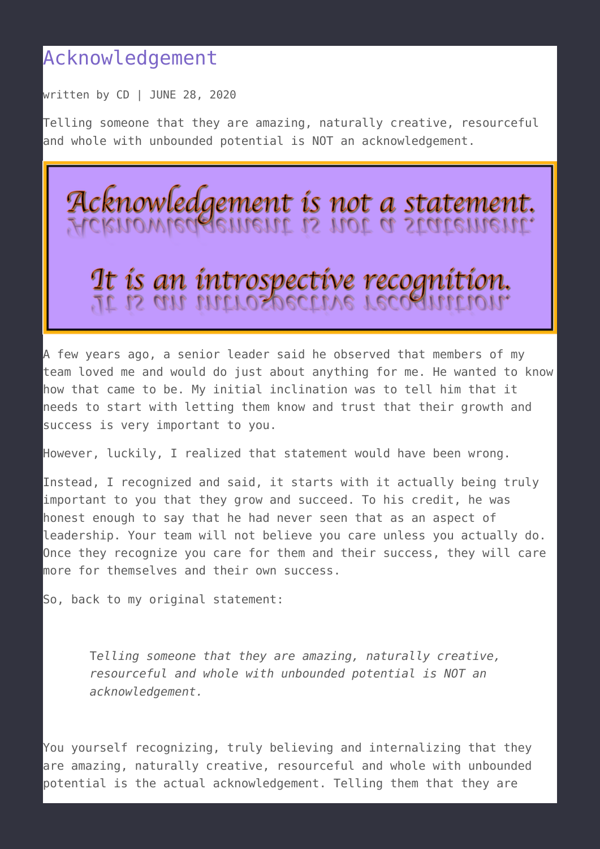## [Acknowledgement](https://talentwhisperers.com/2020/06/28/acknowledgement/)

written by CD | JUNE 28, 2020

Telling someone that they are amazing, naturally creative, resourceful and whole with unbounded potential is NOT an acknowledgement.



A few years ago, a senior leader said he observed that members of my team loved me and would do just about anything for me. He wanted to know how that came to be. My initial inclination was to tell him that it needs to start with letting them know and trust that their growth and success is very important to you.

However, luckily, I realized that statement would have been wrong.

Instead, I recognized and said, it starts with it actually being truly important to you that they grow and succeed. To his credit, he was honest enough to say that he had never seen that as an aspect of leadership. Your team will not believe you care unless you actually do. Once they recognize you care for them and their success, they will care more for themselves and their own success.

So, back to my original statement:

T*elling someone that they are amazing, naturally creative, resourceful and whole with unbounded potential is NOT an acknowledgement.*

You yourself recognizing, truly believing and internalizing that they are amazing, naturally creative, resourceful and whole with unbounded potential is the actual acknowledgement. Telling them that they are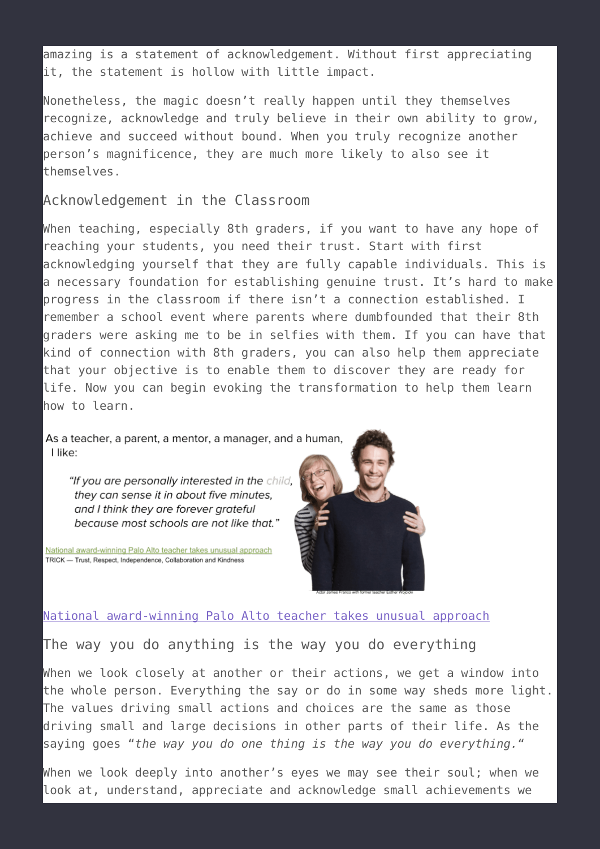amazing is a statement of acknowledgement. Without first appreciating it, the statement is hollow with little impact.

Nonetheless, the magic doesn't really happen until they themselves recognize, acknowledge and truly believe in their own ability to grow, achieve and succeed without bound. When you truly recognize another person's magnificence, they are much more likely to also see it themselves.

Acknowledgement in the Classroom

When teaching, especially 8th graders, if you want to have any hope of reaching your students, you need their trust. Start with first acknowledging yourself that they are fully capable individuals. This is a necessary foundation for establishing genuine trust. It's hard to make progress in the classroom if there isn't a connection established. I remember a school event where parents where dumbfounded that their 8th graders were asking me to be in selfies with them. If you can have that kind of connection with 8th graders, you can also help them appreciate that your objective is to enable them to discover they are ready for life. Now you can begin evoking the transformation to help them learn how to learn.

As a teacher, a parent, a mentor, a manager, and a human, I like:

"If you are personally interested in the child, they can sense it in about five minutes, and I think they are forever grateful because most schools are not like that."

National award-winning Palo Alto teacher takes unusual approach TRICK - Trust, Respect, Independence, Collaboration and Kindness



## [National award-winning Palo Alto teacher takes unusual approach](http://www.mercurynews.com/2017/09/22/national-award-winning-palo-alto-teacher-takes-unusual-approach/)

The way you do anything is the way you do everything

When we look closely at another or their actions, we get a window into the whole person. Everything the say or do in some way sheds more light. The values driving small actions and choices are the same as those driving small and large decisions in other parts of their life. As the saying goes "*the way you do one thing is the way you do everything.*"

When we look deeply into another's eyes we may see their soul; when we look at, understand, appreciate and acknowledge small achievements we